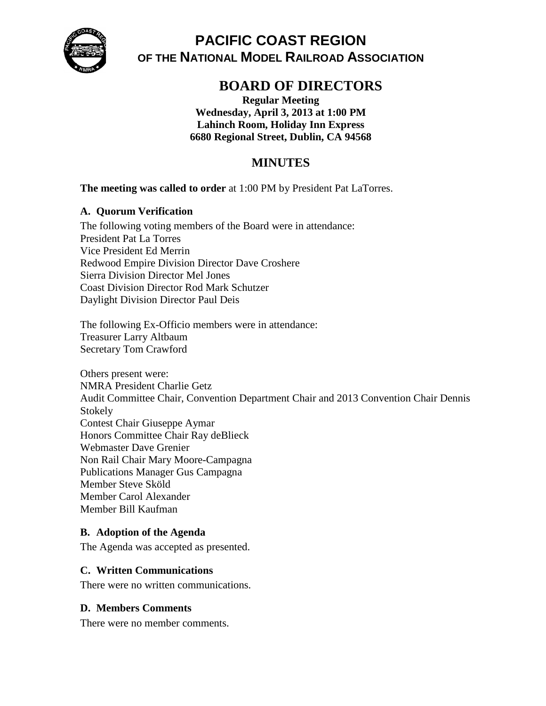

# **PACIFIC COAST REGION OF THE NATIONAL MODEL RAILROAD ASSOCIATION**

# **BOARD OF DIRECTORS**

**Regular Meeting Wednesday, April 3, 2013 at 1:00 PM Lahinch Room, Holiday Inn Express 6680 Regional Street, Dublin, CA 94568**

# **MINUTES**

**The meeting was called to order** at 1:00 PM by President Pat LaTorres.

## **A. Quorum Verification**

The following voting members of the Board were in attendance: President Pat La Torres Vice President Ed Merrin Redwood Empire Division Director Dave Croshere Sierra Division Director Mel Jones Coast Division Director Rod Mark Schutzer Daylight Division Director Paul Deis

The following Ex-Officio members were in attendance: Treasurer Larry Altbaum Secretary Tom Crawford

Others present were: NMRA President Charlie Getz Audit Committee Chair, Convention Department Chair and 2013 Convention Chair Dennis Stokely Contest Chair Giuseppe Aymar Honors Committee Chair Ray deBlieck Webmaster Dave Grenier Non Rail Chair Mary Moore-Campagna Publications Manager Gus Campagna Member Steve Sköld Member Carol Alexander Member Bill Kaufman

### **B. Adoption of the Agenda**

The Agenda was accepted as presented.

### **C. Written Communications**

There were no written communications.

### **D. Members Comments**

There were no member comments.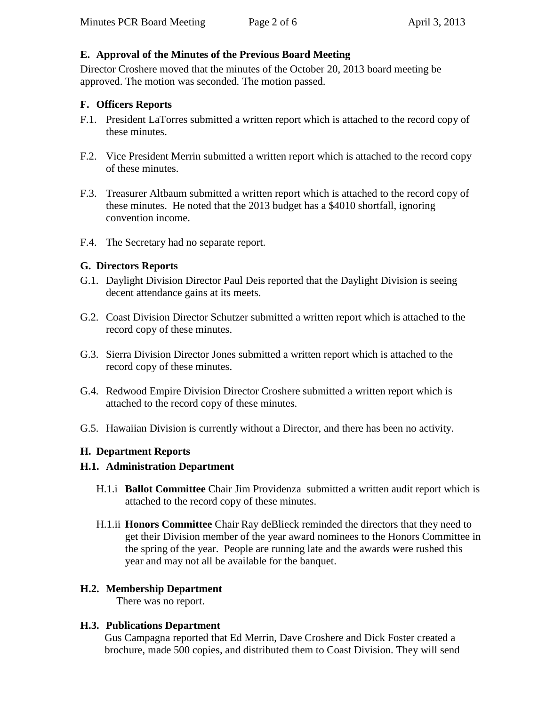### **E. Approval of the Minutes of the Previous Board Meeting**

Director Croshere moved that the minutes of the October 20, 2013 board meeting be approved. The motion was seconded. The motion passed.

#### **F. Officers Reports**

- F.1. President LaTorres submitted a written report which is attached to the record copy of these minutes.
- F.2. Vice President Merrin submitted a written report which is attached to the record copy of these minutes.
- F.3. Treasurer Altbaum submitted a written report which is attached to the record copy of these minutes. He noted that the 2013 budget has a \$4010 shortfall, ignoring convention income.
- F.4. The Secretary had no separate report.

#### **G. Directors Reports**

- G.1. Daylight Division Director Paul Deis reported that the Daylight Division is seeing decent attendance gains at its meets.
- G.2. Coast Division Director Schutzer submitted a written report which is attached to the record copy of these minutes.
- G.3. Sierra Division Director Jones submitted a written report which is attached to the record copy of these minutes.
- G.4. Redwood Empire Division Director Croshere submitted a written report which is attached to the record copy of these minutes.
- G.5. Hawaiian Division is currently without a Director, and there has been no activity.

### **H. Department Reports**

#### **H.1. Administration Department**

- H.1.i **Ballot Committee** Chair Jim Providenza submitted a written audit report which is attached to the record copy of these minutes.
- H.1.ii **Honors Committee** Chair Ray deBlieck reminded the directors that they need to get their Division member of the year award nominees to the Honors Committee in the spring of the year. People are running late and the awards were rushed this year and may not all be available for the banquet.

#### **H.2. Membership Department**

There was no report.

### **H.3. Publications Department**

Gus Campagna reported that Ed Merrin, Dave Croshere and Dick Foster created a brochure, made 500 copies, and distributed them to Coast Division. They will send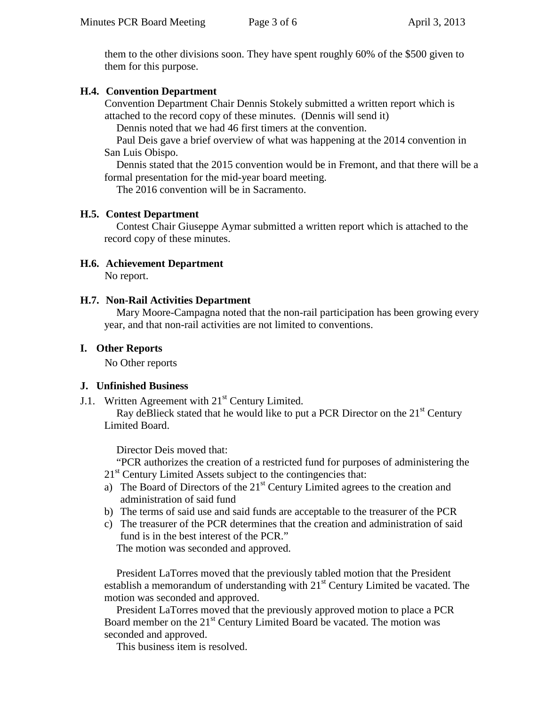them to the other divisions soon. They have spent roughly 60% of the \$500 given to them for this purpose.

#### **H.4. Convention Department**

Convention Department Chair Dennis Stokely submitted a written report which is attached to the record copy of these minutes. (Dennis will send it)

Dennis noted that we had 46 first timers at the convention.

Paul Deis gave a brief overview of what was happening at the 2014 convention in San Luis Obispo.

Dennis stated that the 2015 convention would be in Fremont, and that there will be a formal presentation for the mid-year board meeting.

The 2016 convention will be in Sacramento.

#### **H.5. Contest Department**

Contest Chair Giuseppe Aymar submitted a written report which is attached to the record copy of these minutes.

# **H.6. Achievement Department**

No report.

#### **H.7. Non-Rail Activities Department**

Mary Moore-Campagna noted that the non-rail participation has been growing every year, and that non-rail activities are not limited to conventions.

#### **I. Other Reports**

No Other reports

#### **J. Unfinished Business**

J.1. Written Agreement with  $21<sup>st</sup>$  Century Limited.

Ray deBlieck stated that he would like to put a PCR Director on the  $21<sup>st</sup>$  Century Limited Board.

Director Deis moved that:

"PCR authorizes the creation of a restricted fund for purposes of administering the  $21<sup>st</sup>$  Century Limited Assets subject to the contingencies that:

- a) The Board of Directors of the 21<sup>st</sup> Century Limited agrees to the creation and administration of said fund
- b) The terms of said use and said funds are acceptable to the treasurer of the PCR
- c) The treasurer of the PCR determines that the creation and administration of said fund is in the best interest of the PCR."

The motion was seconded and approved.

President LaTorres moved that the previously tabled motion that the President establish a memorandum of understanding with  $21<sup>st</sup>$  Century Limited be vacated. The motion was seconded and approved.

President LaTorres moved that the previously approved motion to place a PCR Board member on the  $21<sup>st</sup>$  Century Limited Board be vacated. The motion was seconded and approved.

This business item is resolved.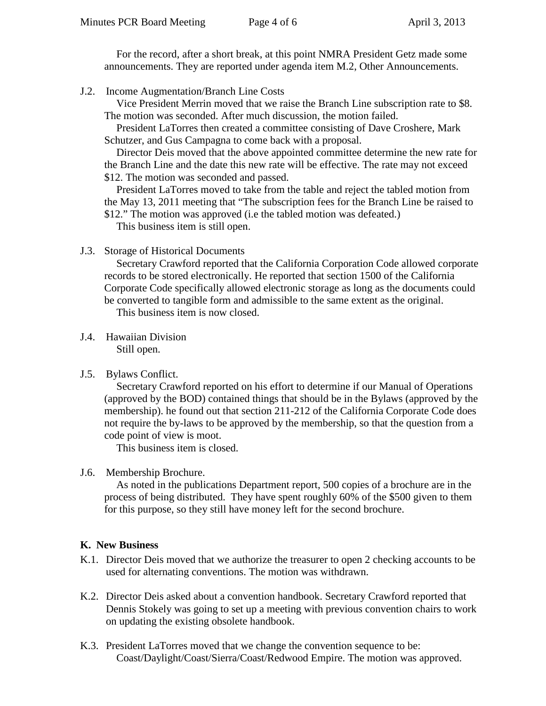For the record, after a short break, at this point NMRA President Getz made some announcements. They are reported under agenda item M.2, Other Announcements.

J.2. Income Augmentation/Branch Line Costs

Vice President Merrin moved that we raise the Branch Line subscription rate to \$8. The motion was seconded. After much discussion, the motion failed.

President LaTorres then created a committee consisting of Dave Croshere, Mark Schutzer, and Gus Campagna to come back with a proposal.

Director Deis moved that the above appointed committee determine the new rate for the Branch Line and the date this new rate will be effective. The rate may not exceed \$12. The motion was seconded and passed.

President LaTorres moved to take from the table and reject the tabled motion from the May 13, 2011 meeting that "The subscription fees for the Branch Line be raised to \$12." The motion was approved (i.e the tabled motion was defeated.)

This business item is still open.

J.3. Storage of Historical Documents

Secretary Crawford reported that the California Corporation Code allowed corporate records to be stored electronically. He reported that section 1500 of the California Corporate Code specifically allowed electronic storage as long as the documents could be converted to tangible form and admissible to the same extent as the original.

This business item is now closed.

- J.4. Hawaiian Division Still open.
- J.5. Bylaws Conflict.

Secretary Crawford reported on his effort to determine if our Manual of Operations (approved by the BOD) contained things that should be in the Bylaws (approved by the membership). he found out that section 211-212 of the California Corporate Code does not require the by-laws to be approved by the membership, so that the question from a code point of view is moot.

This business item is closed.

J.6. Membership Brochure.

As noted in the publications Department report, 500 copies of a brochure are in the process of being distributed. They have spent roughly 60% of the \$500 given to them for this purpose, so they still have money left for the second brochure.

#### **K. New Business**

- K.1. Director Deis moved that we authorize the treasurer to open 2 checking accounts to be used for alternating conventions. The motion was withdrawn.
- K.2. Director Deis asked about a convention handbook. Secretary Crawford reported that Dennis Stokely was going to set up a meeting with previous convention chairs to work on updating the existing obsolete handbook.
- K.3. President LaTorres moved that we change the convention sequence to be: Coast/Daylight/Coast/Sierra/Coast/Redwood Empire. The motion was approved.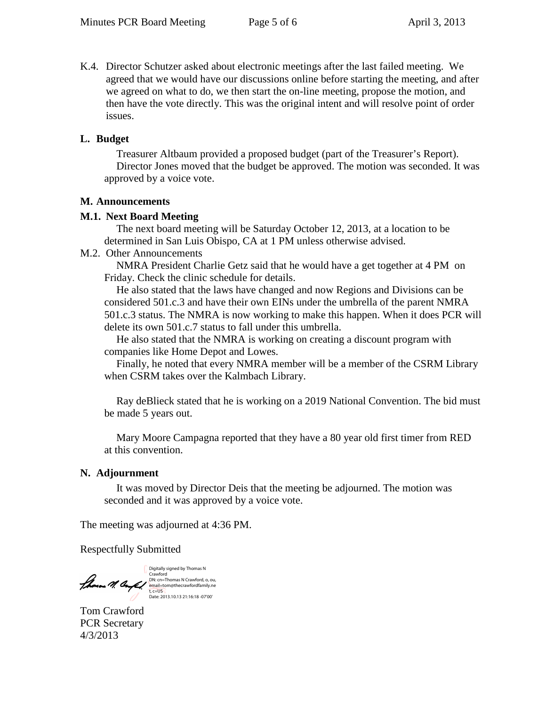K.4. Director Schutzer asked about electronic meetings after the last failed meeting. We agreed that we would have our discussions online before starting the meeting, and after we agreed on what to do, we then start the on-line meeting, propose the motion, and then have the vote directly. This was the original intent and will resolve point of order issues.

#### **L. Budget**

Treasurer Altbaum provided a proposed budget (part of the Treasurer's Report). Director Jones moved that the budget be approved. The motion was seconded. It was approved by a voice vote.

#### **M. Announcements**

#### **M.1. Next Board Meeting**

The next board meeting will be Saturday October 12, 2013, at a location to be determined in San Luis Obispo, CA at 1 PM unless otherwise advised.

#### M.2. Other Announcements

NMRA President Charlie Getz said that he would have a get together at 4 PM on Friday. Check the clinic schedule for details.

He also stated that the laws have changed and now Regions and Divisions can be considered 501.c.3 and have their own EINs under the umbrella of the parent NMRA 501.c.3 status. The NMRA is now working to make this happen. When it does PCR will delete its own 501.c.7 status to fall under this umbrella.

He also stated that the NMRA is working on creating a discount program with companies like Home Depot and Lowes.

Finally, he noted that every NMRA member will be a member of the CSRM Library when CSRM takes over the Kalmbach Library.

Ray deBlieck stated that he is working on a 2019 National Convention. The bid must be made 5 years out.

Mary Moore Campagna reported that they have a 80 year old first timer from RED at this convention.

#### **N. Adjournment**

It was moved by Director Deis that the meeting be adjourned. The motion was seconded and it was approved by a voice vote.

The meeting was adjourned at 4:36 PM.

Respectfully Submitted

Digitally signed by Thomas N<br>Crawford<br>DN: cn=Thomas N Crawford, o, ou,<br>email=tom@thecrawfordfamily.ne<br>t, c=US =<br>Date: 2013.10.13 21:16:18 -07'00'

Tom Crawford PCR Secretary 4/3/2013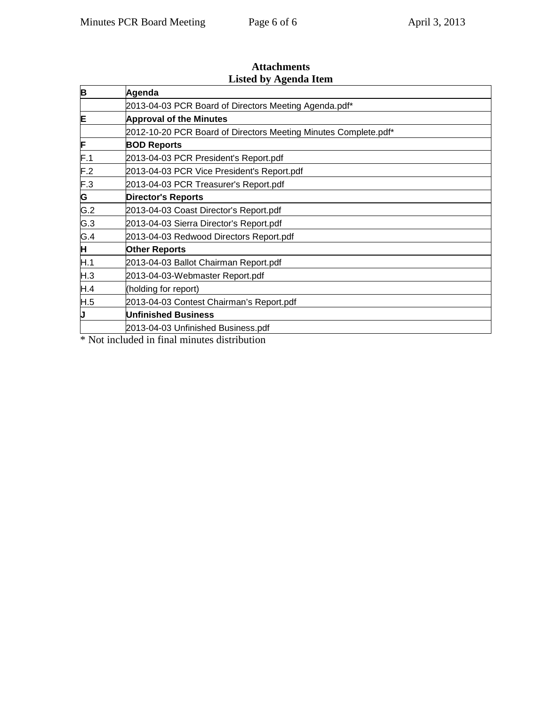| B   | Agenda                                                          |  |  |
|-----|-----------------------------------------------------------------|--|--|
|     | 2013-04-03 PCR Board of Directors Meeting Agenda.pdf*           |  |  |
| E   | <b>Approval of the Minutes</b>                                  |  |  |
|     | 2012-10-20 PCR Board of Directors Meeting Minutes Complete.pdf* |  |  |
| F   | <b>BOD Reports</b>                                              |  |  |
| F.1 | 2013-04-03 PCR President's Report.pdf                           |  |  |
| F.2 | 2013-04-03 PCR Vice President's Report.pdf                      |  |  |
| F.3 | 2013-04-03 PCR Treasurer's Report.pdf                           |  |  |
| G   | <b>Director's Reports</b>                                       |  |  |
| G.2 | 2013-04-03 Coast Director's Report.pdf                          |  |  |
| G.3 | 2013-04-03 Sierra Director's Report.pdf                         |  |  |
| G.4 | 2013-04-03 Redwood Directors Report.pdf                         |  |  |
| Η   | <b>Other Reports</b>                                            |  |  |
| H.1 | 2013-04-03 Ballot Chairman Report.pdf                           |  |  |
| H.3 | 2013-04-03-Webmaster Report.pdf                                 |  |  |
| H.4 | (holding for report)                                            |  |  |
| H.5 | 2013-04-03 Contest Chairman's Report.pdf                        |  |  |
| J   | <b>Unfinished Business</b>                                      |  |  |
|     | 2013-04-03 Unfinished Business.pdf                              |  |  |
|     | $\Phi$ Martin clouds do the $P$ and actionated distribution     |  |  |

# **Attachments Listed by Agenda Item**

\* Not included in final minutes distribution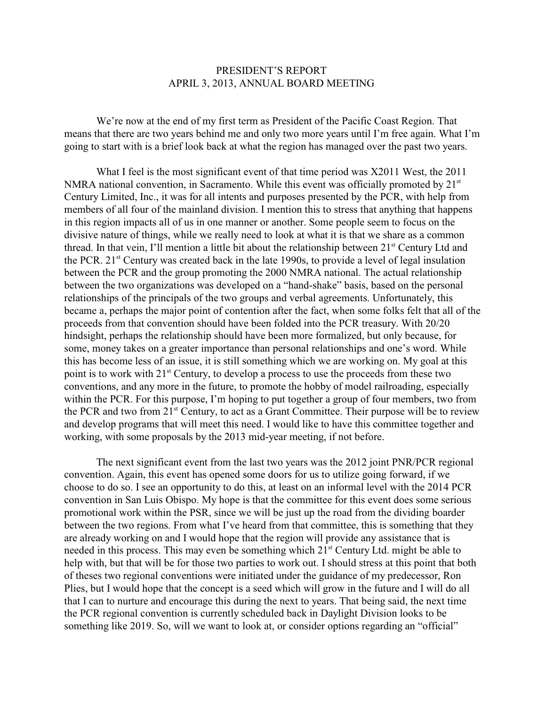#### PRESIDENT'S REPORT APRIL 3, 2013, ANNUAL BOARD MEETING

We're now at the end of my first term as President of the Pacific Coast Region. That means that there are two years behind me and only two more years until I'm free again. What I'm going to start with is a brief look back at what the region has managed over the past two years.

What I feel is the most significant event of that time period was X2011 West, the 2011 NMRA national convention, in Sacramento. While this event was officially promoted by  $21<sup>st</sup>$ Century Limited, Inc., it was for all intents and purposes presented by the PCR, with help from members of all four of the mainland division. I mention this to stress that anything that happens in this region impacts all of us in one manner or another. Some people seem to focus on the divisive nature of things, while we really need to look at what it is that we share as a common thread. In that vein, I'll mention a little bit about the relationship between 21<sup>st</sup> Century Ltd and the PCR.  $21^{st}$  Century was created back in the late 1990s, to provide a level of legal insulation between the PCR and the group promoting the 2000 NMRA national. The actual relationship between the two organizations was developed on a "hand-shake" basis, based on the personal relationships of the principals of the two groups and verbal agreements. Unfortunately, this became a, perhaps the major point of contention after the fact, when some folks felt that all of the proceeds from that convention should have been folded into the PCR treasury. With 20/20 hindsight, perhaps the relationship should have been more formalized, but only because, for some, money takes on a greater importance than personal relationships and one's word. While this has become less of an issue, it is still something which we are working on. My goal at this point is to work with  $21^{st}$  Century, to develop a process to use the proceeds from these two conventions, and any more in the future, to promote the hobby of model railroading, especially within the PCR. For this purpose, I'm hoping to put together a group of four members, two from the PCR and two from 21<sup>st</sup> Century, to act as a Grant Committee. Their purpose will be to review and develop programs that will meet this need. I would like to have this committee together and working, with some proposals by the 2013 mid-year meeting, if not before.

The next significant event from the last two years was the 2012 joint PNR/PCR regional convention. Again, this event has opened some doors for us to utilize going forward, if we choose to do so. I see an opportunity to do this, at least on an informal level with the 2014 PCR convention in San Luis Obispo. My hope is that the committee for this event does some serious promotional work within the PSR, since we will be just up the road from the dividing boarder between the two regions. From what I've heard from that committee, this is something that they are already working on and I would hope that the region will provide any assistance that is needed in this process. This may even be something which  $21<sup>st</sup>$  Century Ltd. might be able to help with, but that will be for those two parties to work out. I should stress at this point that both of theses two regional conventions were initiated under the guidance of my predecessor, Ron Plies, but I would hope that the concept is a seed which will grow in the future and I will do all that I can to nurture and encourage this during the next to years. That being said, the next time the PCR regional convention is currently scheduled back in Daylight Division looks to be something like 2019. So, will we want to look at, or consider options regarding an "official"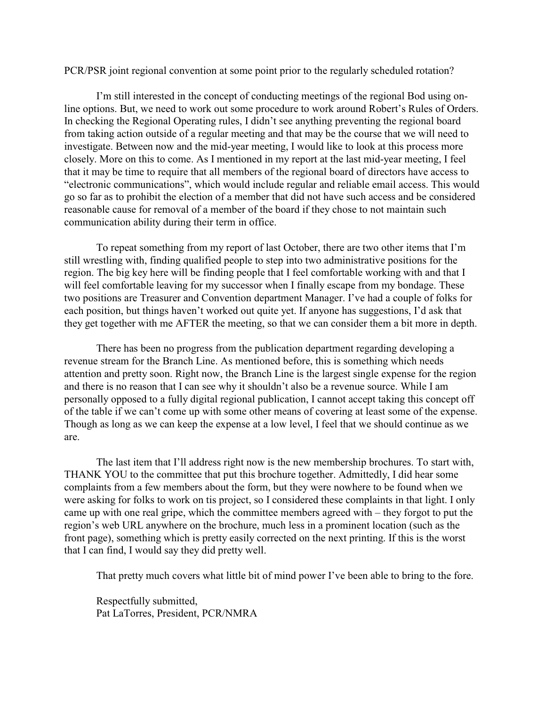PCR/PSR joint regional convention at some point prior to the regularly scheduled rotation?

I'm still interested in the concept of conducting meetings of the regional Bod using online options. But, we need to work out some procedure to work around Robert's Rules of Orders. In checking the Regional Operating rules, I didn't see anything preventing the regional board from taking action outside of a regular meeting and that may be the course that we will need to investigate. Between now and the mid-year meeting, I would like to look at this process more closely. More on this to come. As I mentioned in my report at the last mid-year meeting, I feel that it may be time to require that all members of the regional board of directors have access to "electronic communications", which would include regular and reliable email access. This would go so far as to prohibit the election of a member that did not have such access and be considered reasonable cause for removal of a member of the board if they chose to not maintain such communication ability during their term in office.

To repeat something from my report of last October, there are two other items that I'm still wrestling with, finding qualified people to step into two administrative positions for the region. The big key here will be finding people that I feel comfortable working with and that I will feel comfortable leaving for my successor when I finally escape from my bondage. These two positions are Treasurer and Convention department Manager. I've had a couple of folks for each position, but things haven't worked out quite yet. If anyone has suggestions, I'd ask that they get together with me AFTER the meeting, so that we can consider them a bit more in depth.

There has been no progress from the publication department regarding developing a revenue stream for the Branch Line. As mentioned before, this is something which needs attention and pretty soon. Right now, the Branch Line is the largest single expense for the region and there is no reason that I can see why it shouldn't also be a revenue source. While I am personally opposed to a fully digital regional publication, I cannot accept taking this concept off of the table if we can't come up with some other means of covering at least some of the expense. Though as long as we can keep the expense at a low level, I feel that we should continue as we are.

The last item that I'll address right now is the new membership brochures. To start with, THANK YOU to the committee that put this brochure together. Admittedly, I did hear some complaints from a few members about the form, but they were nowhere to be found when we were asking for folks to work on tis project, so I considered these complaints in that light. I only came up with one real gripe, which the committee members agreed with – they forgot to put the region's web URL anywhere on the brochure, much less in a prominent location (such as the front page), something which is pretty easily corrected on the next printing. If this is the worst that I can find, I would say they did pretty well.

That pretty much covers what little bit of mind power I've been able to bring to the fore.

Respectfully submitted, Pat LaTorres, President, PCR/NMRA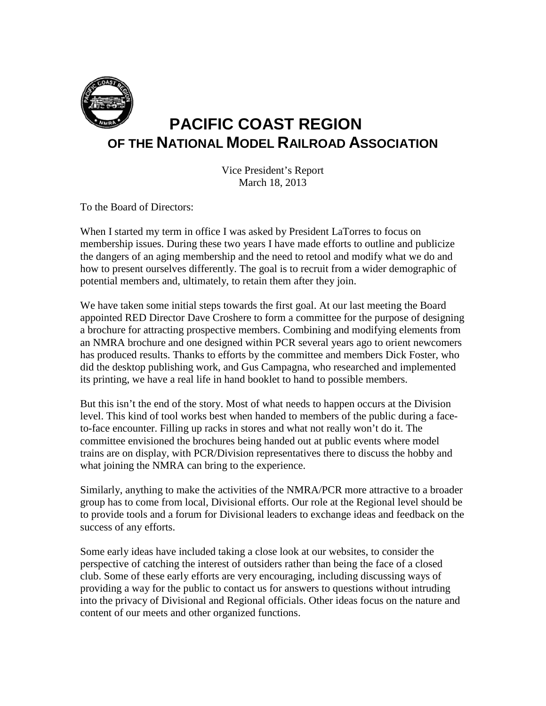

# **PACIFIC COAST REGION OF THE NATIONAL MODEL RAILROAD ASSOCIATION**

Vice President's Report March 18, 2013

To the Board of Directors:

When I started my term in office I was asked by President LaTorres to focus on membership issues. During these two years I have made efforts to outline and publicize the dangers of an aging membership and the need to retool and modify what we do and how to present ourselves differently. The goal is to recruit from a wider demographic of potential members and, ultimately, to retain them after they join.

We have taken some initial steps towards the first goal. At our last meeting the Board appointed RED Director Dave Croshere to form a committee for the purpose of designing a brochure for attracting prospective members. Combining and modifying elements from an NMRA brochure and one designed within PCR several years ago to orient newcomers has produced results. Thanks to efforts by the committee and members Dick Foster, who did the desktop publishing work, and Gus Campagna, who researched and implemented its printing, we have a real life in hand booklet to hand to possible members.

But this isn't the end of the story. Most of what needs to happen occurs at the Division level. This kind of tool works best when handed to members of the public during a faceto-face encounter. Filling up racks in stores and what not really won't do it. The committee envisioned the brochures being handed out at public events where model trains are on display, with PCR/Division representatives there to discuss the hobby and what joining the NMRA can bring to the experience.

Similarly, anything to make the activities of the NMRA/PCR more attractive to a broader group has to come from local, Divisional efforts. Our role at the Regional level should be to provide tools and a forum for Divisional leaders to exchange ideas and feedback on the success of any efforts.

Some early ideas have included taking a close look at our websites, to consider the perspective of catching the interest of outsiders rather than being the face of a closed club. Some of these early efforts are very encouraging, including discussing ways of providing a way for the public to contact us for answers to questions without intruding into the privacy of Divisional and Regional officials. Other ideas focus on the nature and content of our meets and other organized functions.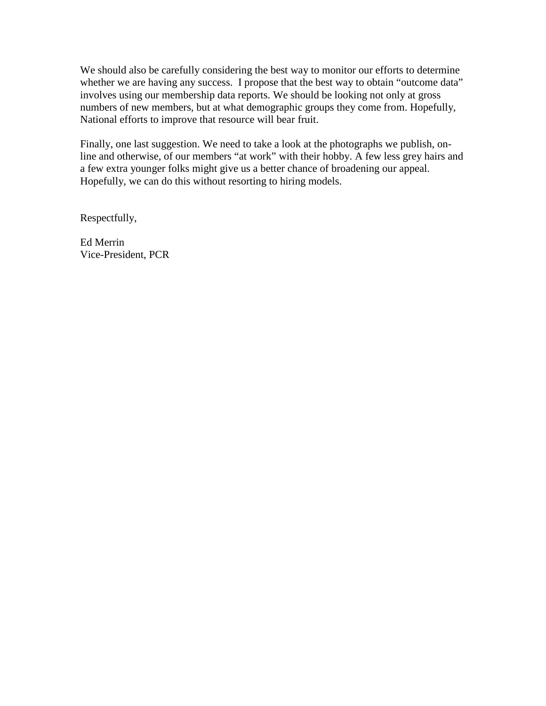We should also be carefully considering the best way to monitor our efforts to determine whether we are having any success. I propose that the best way to obtain "outcome data" involves using our membership data reports. We should be looking not only at gross numbers of new members, but at what demographic groups they come from. Hopefully, National efforts to improve that resource will bear fruit.

Finally, one last suggestion. We need to take a look at the photographs we publish, online and otherwise, of our members "at work" with their hobby. A few less grey hairs and a few extra younger folks might give us a better chance of broadening our appeal. Hopefully, we can do this without resorting to hiring models.

Respectfully,

Ed Merrin Vice-President, PCR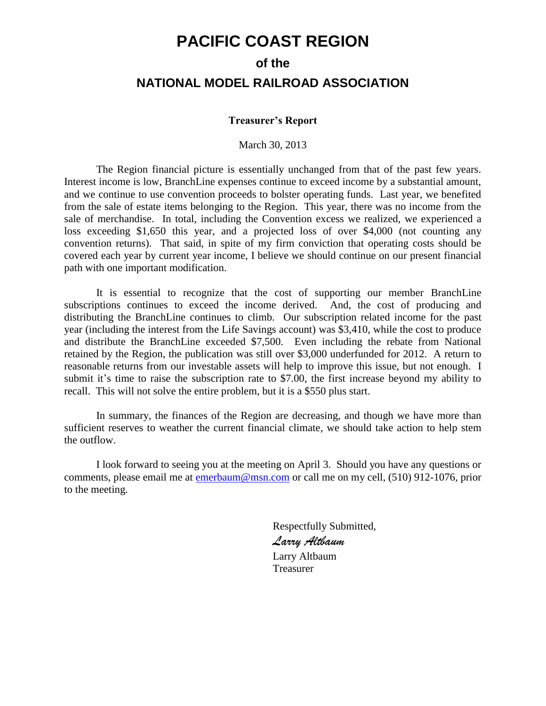# **PACIFIC COAST REGION**

# **of the NATIONAL MODEL RAILROAD ASSOCIATION**

#### **Treasurer's Report**

March 30, 2013

The Region financial picture is essentially unchanged from that of the past few years. Interest income is low, BranchLine expenses continue to exceed income by a substantial amount, and we continue to use convention proceeds to bolster operating funds. Last year, we benefited from the sale of estate items belonging to the Region. This year, there was no income from the sale of merchandise. In total, including the Convention excess we realized, we experienced a loss exceeding \$1,650 this year, and a projected loss of over \$4,000 (not counting any convention returns). That said, in spite of my firm conviction that operating costs should be covered each year by current year income, I believe we should continue on our present financial path with one important modification.

It is essential to recognize that the cost of supporting our member BranchLine subscriptions continues to exceed the income derived. And, the cost of producing and distributing the BranchLine continues to climb. Our subscription related income for the past year (including the interest from the Life Savings account) was \$3,410, while the cost to produce and distribute the BranchLine exceeded \$7,500. Even including the rebate from National retained by the Region, the publication was still over \$3,000 underfunded for 2012. A return to reasonable returns from our investable assets will help to improve this issue, but not enough. I submit it's time to raise the subscription rate to \$7.00, the first increase beyond my ability to recall. This will not solve the entire problem, but it is a \$550 plus start.

In summary, the finances of the Region are decreasing, and though we have more than sufficient reserves to weather the current financial climate, we should take action to help stem the outflow.

I look forward to seeing you at the meeting on April 3. Should you have any questions or comments, please email me at [emerbaum@msn.com](mailto:emerbaum@msn.com) or call me on my cell, (510) 912-1076, prior to the meeting.

> Respectfully Submitted, *Larry Altbaum* Larry Altbaum Treasurer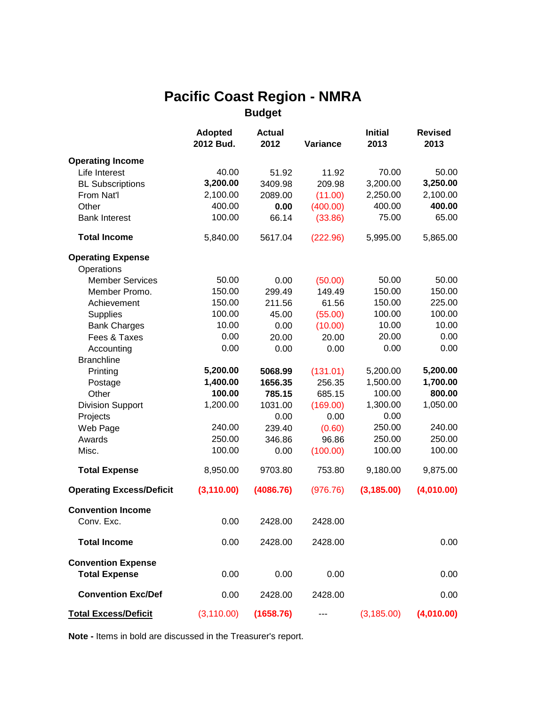# **Pacific Coast Region - NMRA Budget**

|                                                   | <b>Adopted</b><br>2012 Bud. | <b>Actual</b><br>2012 | Variance | <b>Initial</b><br>2013 | <b>Revised</b><br>2013 |
|---------------------------------------------------|-----------------------------|-----------------------|----------|------------------------|------------------------|
| <b>Operating Income</b>                           |                             |                       |          |                        |                        |
| Life Interest                                     | 40.00                       | 51.92                 | 11.92    | 70.00                  | 50.00                  |
| <b>BL Subscriptions</b>                           | 3,200.00                    | 3409.98               | 209.98   | 3,200.00               | 3,250.00               |
| From Nat'l                                        | 2,100.00                    | 2089.00               | (11.00)  | 2,250.00               | 2,100.00               |
| Other                                             | 400.00                      | 0.00                  | (400.00) | 400.00                 | 400.00                 |
| <b>Bank Interest</b>                              | 100.00                      | 66.14                 | (33.86)  | 75.00                  | 65.00                  |
| <b>Total Income</b>                               | 5,840.00                    | 5617.04               | (222.96) | 5,995.00               | 5,865.00               |
| <b>Operating Expense</b>                          |                             |                       |          |                        |                        |
| Operations                                        |                             |                       |          |                        |                        |
| <b>Member Services</b>                            | 50.00                       | 0.00                  | (50.00)  | 50.00                  | 50.00                  |
| Member Promo.                                     | 150.00                      | 299.49                | 149.49   | 150.00                 | 150.00                 |
| Achievement                                       | 150.00                      | 211.56                | 61.56    | 150.00                 | 225.00                 |
| <b>Supplies</b>                                   | 100.00                      | 45.00                 | (55.00)  | 100.00                 | 100.00                 |
| <b>Bank Charges</b>                               | 10.00                       | 0.00                  | (10.00)  | 10.00                  | 10.00                  |
| Fees & Taxes                                      | 0.00                        | 20.00                 | 20.00    | 20.00                  | 0.00                   |
| Accounting                                        | 0.00                        | 0.00                  | 0.00     | 0.00                   | 0.00                   |
| <b>Branchline</b>                                 |                             |                       |          |                        |                        |
| Printing                                          | 5,200.00                    | 5068.99               | (131.01) | 5,200.00               | 5,200.00               |
| Postage                                           | 1,400.00                    | 1656.35               | 256.35   | 1,500.00               | 1,700.00               |
| Other                                             | 100.00                      | 785.15                | 685.15   | 100.00                 | 800.00                 |
| <b>Division Support</b>                           | 1,200.00                    | 1031.00               | (169.00) | 1,300.00               | 1,050.00               |
| Projects                                          |                             | 0.00                  | 0.00     | 0.00                   |                        |
| Web Page                                          | 240.00                      | 239.40                | (0.60)   | 250.00                 | 240.00                 |
| Awards                                            | 250.00                      | 346.86                | 96.86    | 250.00                 | 250.00                 |
| Misc.                                             | 100.00                      | 0.00                  | (100.00) | 100.00                 | 100.00                 |
| <b>Total Expense</b>                              | 8,950.00                    | 9703.80               | 753.80   | 9,180.00               | 9,875.00               |
| <b>Operating Excess/Deficit</b>                   | (3, 110.00)                 | (4086.76)             | (976.76) | (3, 185.00)            | (4,010.00)             |
| <b>Convention Income</b>                          |                             |                       |          |                        |                        |
| Conv. Exc.                                        | 0.00                        | 2428.00               | 2428.00  |                        |                        |
| <b>Total Income</b>                               | 0.00                        | 2428.00               | 2428.00  |                        | 0.00                   |
| <b>Convention Expense</b><br><b>Total Expense</b> | 0.00                        | 0.00                  | 0.00     |                        | 0.00                   |
| <b>Convention Exc/Def</b>                         | 0.00                        | 2428.00               | 2428.00  |                        | 0.00                   |
| <b>Total Excess/Deficit</b>                       | (3, 110.00)                 | (1658.76)             |          | (3, 185.00)            | (4,010.00)             |

**Note -** Items in bold are discussed in the Treasurer's report.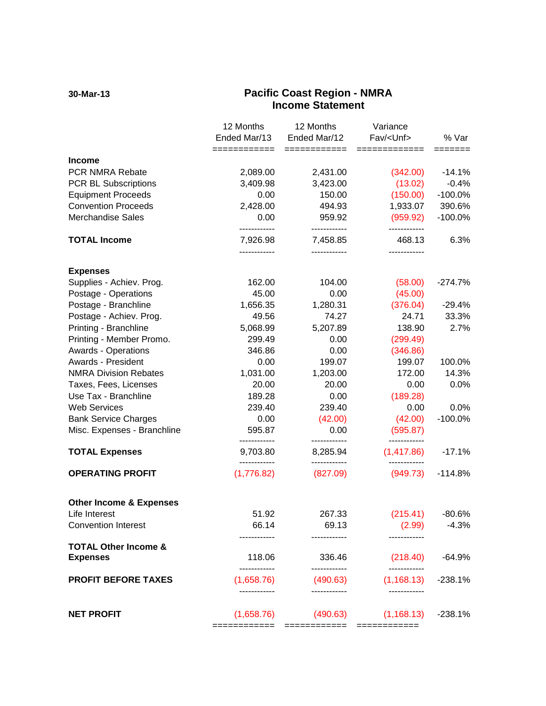#### **30-Mar-13 Pacific Coast Region - NMRA Income Statement**

|                                                    | 12 Months<br>Ended Mar/13<br>============ | 12 Months<br>Ended Mar/12<br>============ | Variance<br>Fav/ <unf><br/>=============</unf> | % Var<br>======= |
|----------------------------------------------------|-------------------------------------------|-------------------------------------------|------------------------------------------------|------------------|
| <b>Income</b>                                      |                                           |                                           |                                                |                  |
| PCR NMRA Rebate                                    | 2,089.00                                  | 2,431.00                                  | (342.00)                                       | $-14.1%$         |
| <b>PCR BL Subscriptions</b>                        | 3,409.98                                  | 3,423.00                                  | (13.02)                                        | $-0.4%$          |
| <b>Equipment Proceeds</b>                          | 0.00                                      | 150.00                                    | (150.00)                                       | $-100.0%$        |
| <b>Convention Proceeds</b>                         | 2,428.00                                  | 494.93                                    | 1,933.07                                       | 390.6%           |
| <b>Merchandise Sales</b>                           | 0.00<br>------------                      | 959.92<br>------------                    | (959.92)<br>------------                       | $-100.0%$        |
| <b>TOTAL Income</b>                                | 7,926.98                                  | 7,458.85                                  | 468.13                                         | 6.3%             |
| <b>Expenses</b>                                    |                                           |                                           |                                                |                  |
| Supplies - Achiev. Prog.                           | 162.00                                    | 104.00                                    | (58.00)                                        | $-274.7%$        |
| Postage - Operations                               | 45.00                                     | 0.00                                      | (45.00)                                        |                  |
| Postage - Branchline                               | 1,656.35                                  | 1,280.31                                  | (376.04)                                       | $-29.4%$         |
| Postage - Achiev. Prog.                            | 49.56                                     | 74.27                                     | 24.71                                          | 33.3%            |
| Printing - Branchline                              | 5,068.99                                  | 5,207.89                                  | 138.90                                         | 2.7%             |
| Printing - Member Promo.                           | 299.49                                    | 0.00                                      | (299.49)                                       |                  |
| <b>Awards - Operations</b>                         | 346.86                                    | 0.00                                      | (346.86)                                       |                  |
| Awards - President                                 | 0.00                                      | 199.07                                    | 199.07                                         | 100.0%           |
| <b>NMRA Division Rebates</b>                       | 1,031.00                                  | 1,203.00                                  | 172.00                                         | 14.3%            |
| Taxes, Fees, Licenses                              | 20.00                                     | 20.00                                     | 0.00                                           | 0.0%             |
| Use Tax - Branchline                               | 189.28                                    | 0.00                                      | (189.28)                                       |                  |
| <b>Web Services</b>                                | 239.40                                    | 239.40                                    | 0.00                                           | 0.0%             |
| <b>Bank Service Charges</b>                        | 0.00                                      | (42.00)                                   | (42.00)                                        | $-100.0%$        |
| Misc. Expenses - Branchline                        | 595.87<br>                                | 0.00<br>------------                      | (595.87)<br>------------                       |                  |
| <b>TOTAL Expenses</b>                              | 9,703.80<br>------------                  | 8,285.94<br>------------                  | (1,417.86)<br>------------                     | $-17.1%$         |
| <b>OPERATING PROFIT</b>                            | (1,776.82)                                | (827.09)                                  | (949.73)                                       | $-114.8%$        |
| <b>Other Income &amp; Expenses</b>                 |                                           |                                           |                                                |                  |
| Life Interest                                      | 51.92                                     | 267.33                                    | (215.41)                                       | $-80.6%$         |
| <b>Convention Interest</b>                         | 66.14                                     | 69.13                                     | (2.99)                                         | $-4.3%$          |
|                                                    |                                           |                                           |                                                |                  |
| <b>TOTAL Other Income &amp;</b><br><b>Expenses</b> | 118.06                                    | 336.46                                    | (218.40)                                       | $-64.9%$         |
| <b>PROFIT BEFORE TAXES</b>                         | (1,658.76)                                | (490.63)                                  | (1, 168.13)                                    | $-238.1%$        |
| <b>NET PROFIT</b>                                  | (1,658.76)<br>============                | (490.63)<br>============                  | (1, 168.13)<br>============                    | $-238.1%$        |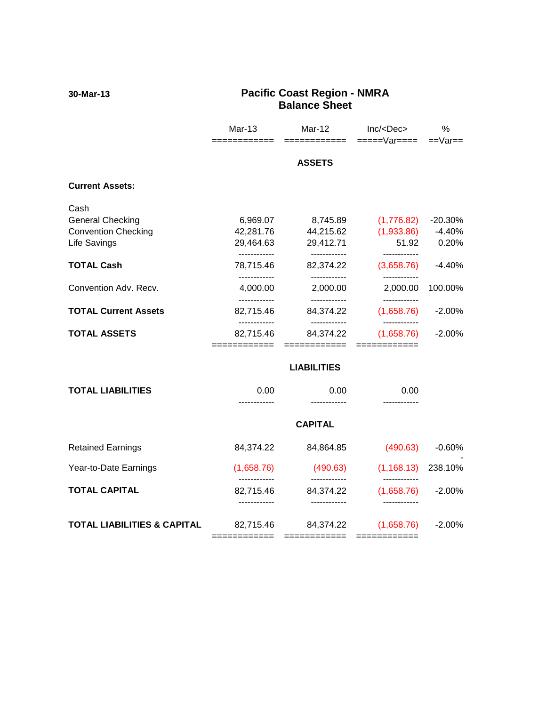#### **30-Mar-13 Pacific Coast Region - NMRA Balance Sheet**

|                                        | Mar-13                     | Mar-12<br>======          | Inc/ <dec><br/>=====Var====</dec> | %<br>$==Var ==$ |
|----------------------------------------|----------------------------|---------------------------|-----------------------------------|-----------------|
|                                        |                            | <b>ASSETS</b>             |                                   |                 |
| <b>Current Assets:</b>                 |                            |                           |                                   |                 |
| Cash                                   |                            |                           |                                   |                 |
| <b>General Checking</b>                | 6,969.07                   | 8,745.89                  | (1,776.82)                        | $-20.30%$       |
| <b>Convention Checking</b>             | 42,281.76                  | 44,215.62                 | (1,933.86)                        | $-4.40%$        |
| Life Savings                           | 29,464.63<br>------------  | 29,412.71<br>------------ | 51.92                             | 0.20%           |
| <b>TOTAL Cash</b>                      | 78,715.46<br>------------  | 82,374.22<br>------------ | (3,658.76)                        | $-4.40%$        |
| Convention Adv. Recv.                  | 4,000.00                   | 2,000.00                  | 2,000.00                          | 100.00%         |
|                                        | ------------               | ------------              | ------------                      |                 |
| <b>TOTAL Current Assets</b>            | 82,715.46<br>------------  | 84,374.22<br>------------ | (1,658.76)<br>------------        | $-2.00\%$       |
| <b>TOTAL ASSETS</b>                    | 82,715.46                  | 84,374.22                 | (1,658.76)                        | $-2.00%$        |
|                                        | ============               | ============              | ============                      |                 |
|                                        |                            | <b>LIABILITIES</b>        |                                   |                 |
| <b>TOTAL LIABILITIES</b>               | 0.00<br>.                  | 0.00                      | 0.00<br>------------              |                 |
|                                        |                            | <b>CAPITAL</b>            |                                   |                 |
|                                        |                            |                           |                                   |                 |
| <b>Retained Earnings</b>               | 84,374.22                  | 84,864.85                 | (490.63)                          | $-0.60%$        |
| Year-to-Date Earnings                  | (1,658.76)<br>------------ | (490.63)<br>------------  | (1, 168.13)<br>------------       | 238.10%         |
| <b>TOTAL CAPITAL</b>                   | 82,715.46                  | 84,374.22                 | (1,658.76)                        | $-2.00%$        |
|                                        | ------------               | ------------              |                                   |                 |
| <b>TOTAL LIABILITIES &amp; CAPITAL</b> | 82,715.46                  | 84,374.22                 | (1,658.76)                        | $-2.00%$        |
|                                        | ============               | ============              | $=$ ============                  |                 |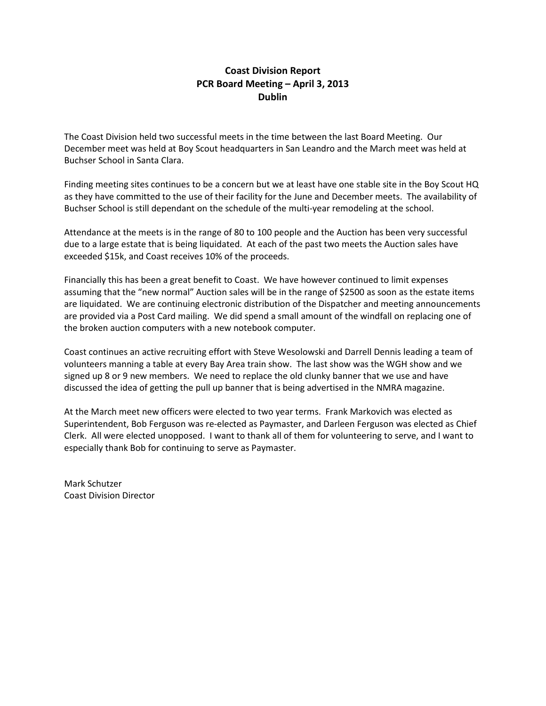### **Coast Division Report PCR Board Meeting – April 3, 2013 Dublin**

The Coast Division held two successful meets in the time between the last Board Meeting. Our December meet was held at Boy Scout headquarters in San Leandro and the March meet was held at Buchser School in Santa Clara.

Finding meeting sites continues to be a concern but we at least have one stable site in the Boy Scout HQ as they have committed to the use of their facility for the June and December meets. The availability of Buchser School is still dependant on the schedule of the multi-year remodeling at the school.

Attendance at the meets is in the range of 80 to 100 people and the Auction has been very successful due to a large estate that is being liquidated. At each of the past two meets the Auction sales have exceeded \$15k, and Coast receives 10% of the proceeds.

Financially this has been a great benefit to Coast. We have however continued to limit expenses assuming that the "new normal" Auction sales will be in the range of \$2500 as soon as the estate items are liquidated. We are continuing electronic distribution of the Dispatcher and meeting announcements are provided via a Post Card mailing. We did spend a small amount of the windfall on replacing one of the broken auction computers with a new notebook computer.

Coast continues an active recruiting effort with Steve Wesolowski and Darrell Dennis leading a team of volunteers manning a table at every Bay Area train show. The last show was the WGH show and we signed up 8 or 9 new members. We need to replace the old clunky banner that we use and have discussed the idea of getting the pull up banner that is being advertised in the NMRA magazine.

At the March meet new officers were elected to two year terms. Frank Markovich was elected as Superintendent, Bob Ferguson was re-elected as Paymaster, and Darleen Ferguson was elected as Chief Clerk. All were elected unopposed. I want to thank all of them for volunteering to serve, and I want to especially thank Bob for continuing to serve as Paymaster.

Mark Schutzer Coast Division Director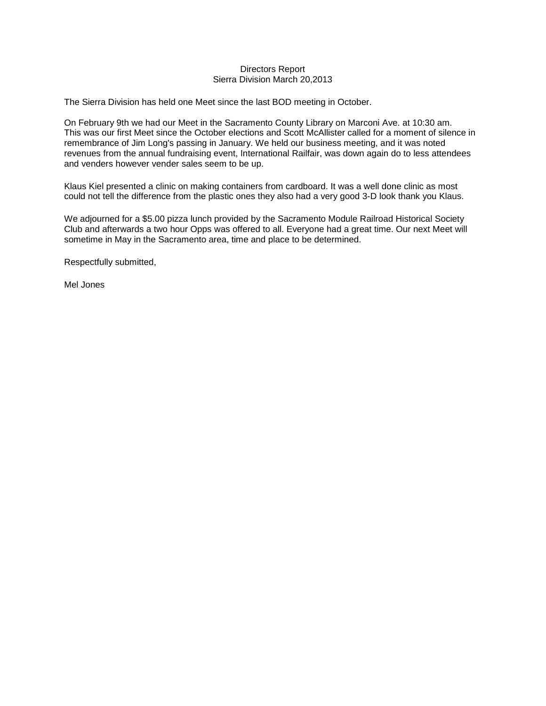#### Directors Report Sierra Division March 20,2013

The Sierra Division has held one Meet since the last BOD meeting in October.

On February 9th we had our Meet in the Sacramento County Library on Marconi Ave. at 10:30 am. This was our first Meet since the October elections and Scott McAllister called for a moment of silence in remembrance of Jim Long's passing in January. We held our business meeting, and it was noted revenues from the annual fundraising event, International Railfair, was down again do to less attendees and venders however vender sales seem to be up.

Klaus Kiel presented a clinic on making containers from cardboard. It was a well done clinic as most could not tell the difference from the plastic ones they also had a very good 3-D look thank you Klaus.

We adjourned for a \$5.00 pizza lunch provided by the Sacramento Module Railroad Historical Society Club and afterwards a two hour Opps was offered to all. Everyone had a great time. Our next Meet will sometime in May in the Sacramento area, time and place to be determined.

Respectfully submitted,

Mel Jones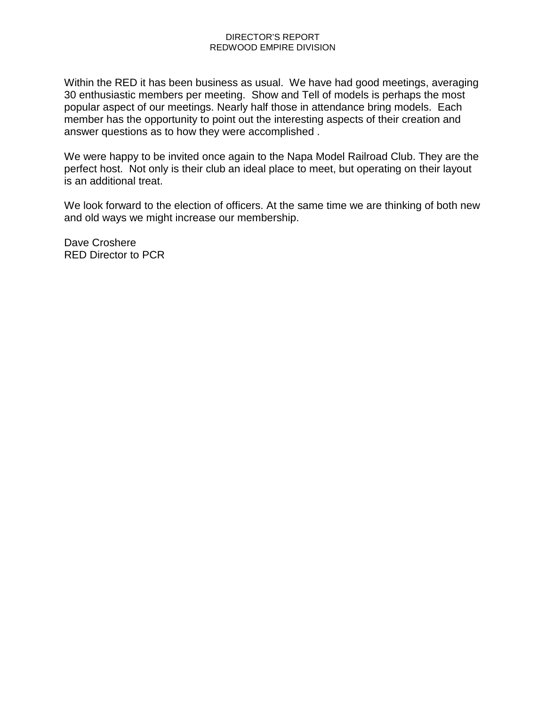#### DIRECTOR'S REPORT REDWOOD EMPIRE DIVISION

Within the RED it has been business as usual. We have had good meetings, averaging 30 enthusiastic members per meeting. Show and Tell of models is perhaps the most popular aspect of our meetings. Nearly half those in attendance bring models. Each member has the opportunity to point out the interesting aspects of their creation and answer questions as to how they were accomplished .

We were happy to be invited once again to the Napa Model Railroad Club. They are the perfect host. Not only is their club an ideal place to meet, but operating on their layout is an additional treat.

We look forward to the election of officers. At the same time we are thinking of both new and old ways we might increase our membership.

Dave Croshere RED Director to PCR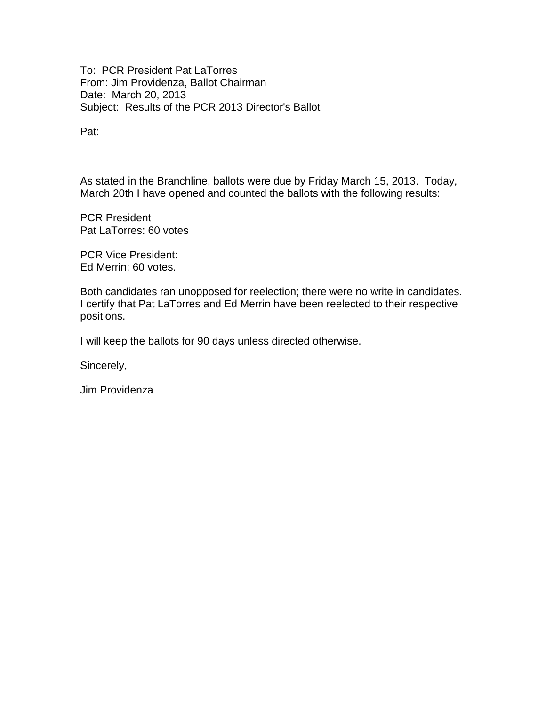To: PCR President Pat LaTorres From: Jim Providenza, Ballot Chairman Date: March 20, 2013 Subject: Results of the PCR 2013 Director's Ballot

Pat:

As stated in the Branchline, ballots were due by Friday March 15, 2013. Today, March 20th I have opened and counted the ballots with the following results:

PCR President Pat LaTorres: 60 votes

PCR Vice President: Ed Merrin: 60 votes.

Both candidates ran unopposed for reelection; there were no write in candidates. I certify that Pat LaTorres and Ed Merrin have been reelected to their respective positions.

I will keep the ballots for 90 days unless directed otherwise.

Sincerely,

Jim Providenza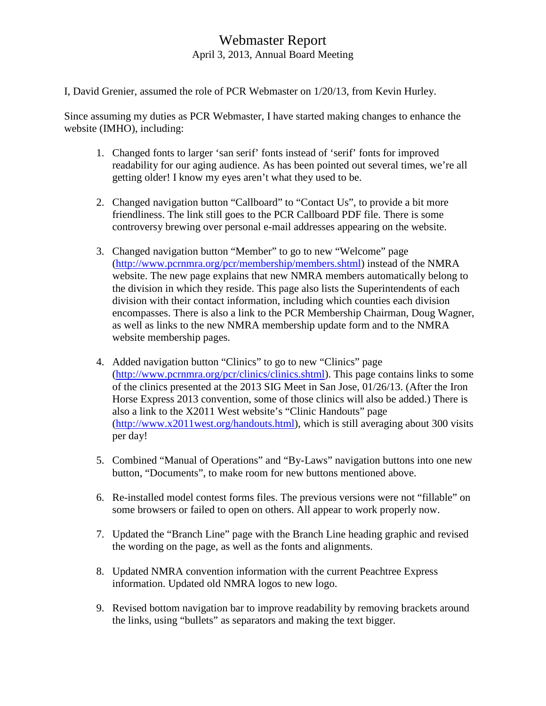# Webmaster Report April 3, 2013, Annual Board Meeting

I, David Grenier, assumed the role of PCR Webmaster on 1/20/13, from Kevin Hurley.

Since assuming my duties as PCR Webmaster, I have started making changes to enhance the website (IMHO), including:

- 1. Changed fonts to larger 'san serif' fonts instead of 'serif' fonts for improved readability for our aging audience. As has been pointed out several times, we're all getting older! I know my eyes aren't what they used to be.
- 2. Changed navigation button "Callboard" to "Contact Us", to provide a bit more friendliness. The link still goes to the PCR Callboard PDF file. There is some controversy brewing over personal e-mail addresses appearing on the website.
- 3. Changed navigation button "Member" to go to new "Welcome" page [\(http://www.pcrnmra.org/pcr/membership/members.shtml\)](http://www.pcrnmra.org/pcr/membership/members.shtml) instead of the NMRA website. The new page explains that new NMRA members automatically belong to the division in which they reside. This page also lists the Superintendents of each division with their contact information, including which counties each division encompasses. There is also a link to the PCR Membership Chairman, Doug Wagner, as well as links to the new NMRA membership update form and to the NMRA website membership pages.
- 4. Added navigation button "Clinics" to go to new "Clinics" page [\(http://www.pcrnmra.org/pcr/clinics/clinics.shtml\)](http://www.pcrnmra.org/pcr/clinics/clinics.shtml). This page contains links to some of the clinics presented at the 2013 SIG Meet in San Jose, 01/26/13. (After the Iron Horse Express 2013 convention, some of those clinics will also be added.) There is also a link to the X2011 West website's "Clinic Handouts" page [\(http://www.x2011west.org/handouts.html\)](http://www.x2011west.org/handouts.html), which is still averaging about 300 visits per day!
- 5. Combined "Manual of Operations" and "By-Laws" navigation buttons into one new button, "Documents", to make room for new buttons mentioned above.
- 6. Re-installed model contest forms files. The previous versions were not "fillable" on some browsers or failed to open on others. All appear to work properly now.
- 7. Updated the "Branch Line" page with the Branch Line heading graphic and revised the wording on the page, as well as the fonts and alignments.
- 8. Updated NMRA convention information with the current Peachtree Express information. Updated old NMRA logos to new logo.
- 9. Revised bottom navigation bar to improve readability by removing brackets around the links, using "bullets" as separators and making the text bigger.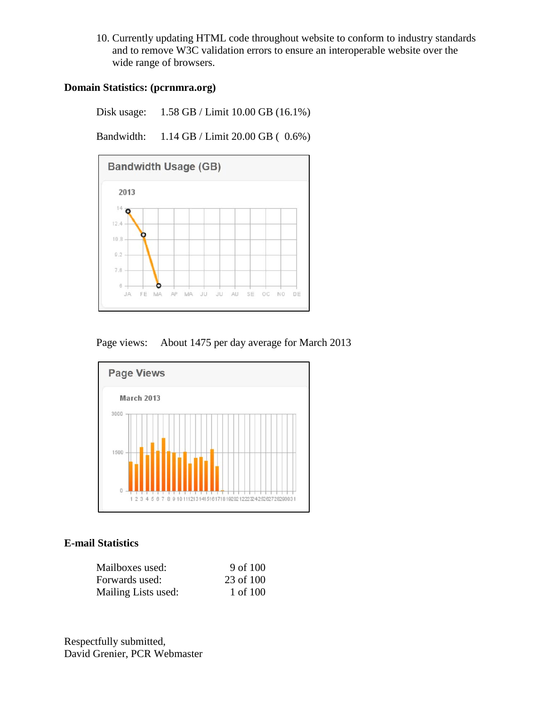10. Currently updating HTML code throughout website to conform to industry standards and to remove W3C validation errors to ensure an interoperable website over the wide range of browsers.

### **Domain Statistics: (pcrnmra.org)**

Disk usage: 1.58 GB / Limit 10.00 GB (16.1%)

Bandwidth: 1.14 GB / Limit 20.00 GB ( 0.6%)







#### **E-mail Statistics**

| Mailboxes used:     | 9 of 100  |
|---------------------|-----------|
| Forwards used:      | 23 of 100 |
| Mailing Lists used: | 1 of 100  |

Respectfully submitted, David Grenier, PCR Webmaster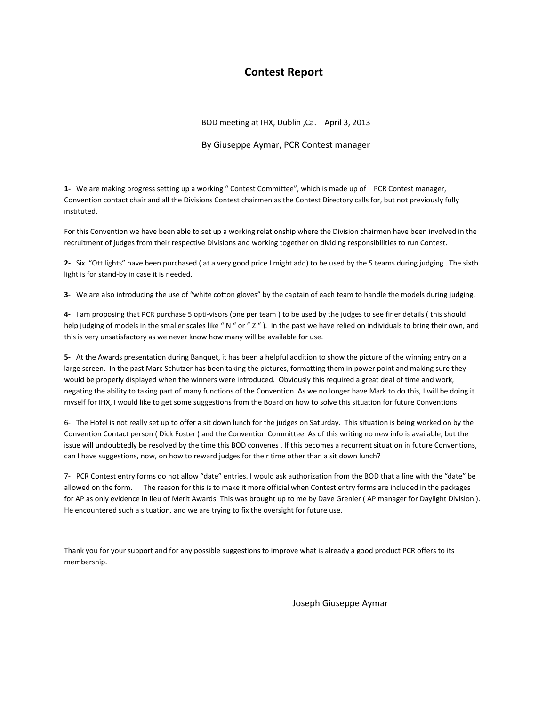## **Contest Report**

BOD meeting at IHX, Dublin ,Ca. April 3, 2013

By Giuseppe Aymar, PCR Contest manager

**1-** We are making progress setting up a working " Contest Committee", which is made up of : PCR Contest manager, Convention contact chair and all the Divisions Contest chairmen as the Contest Directory calls for, but not previously fully instituted.

For this Convention we have been able to set up a working relationship where the Division chairmen have been involved in the recruitment of judges from their respective Divisions and working together on dividing responsibilities to run Contest.

**2-** Six "Ott lights" have been purchased ( at a very good price I might add) to be used by the 5 teams during judging . The sixth light is for stand-by in case it is needed.

**3-** We are also introducing the use of "white cotton gloves" by the captain of each team to handle the models during judging.

**4-** I am proposing that PCR purchase 5 opti-visors (one per team ) to be used by the judges to see finer details ( this should help judging of models in the smaller scales like "N " or "Z"). In the past we have relied on individuals to bring their own, and this is very unsatisfactory as we never know how many will be available for use.

**5-** At the Awards presentation during Banquet, it has been a helpful addition to show the picture of the winning entry on a large screen. In the past Marc Schutzer has been taking the pictures, formatting them in power point and making sure they would be properly displayed when the winners were introduced. Obviously this required a great deal of time and work, negating the ability to taking part of many functions of the Convention. As we no longer have Mark to do this, I will be doing it myself for IHX, I would like to get some suggestions from the Board on how to solve this situation for future Conventions.

6- The Hotel is not really set up to offer a sit down lunch for the judges on Saturday. This situation is being worked on by the Convention Contact person ( Dick Foster ) and the Convention Committee. As of this writing no new info is available, but the issue will undoubtedly be resolved by the time this BOD convenes . If this becomes a recurrent situation in future Conventions, can I have suggestions, now, on how to reward judges for their time other than a sit down lunch?

7- PCR Contest entry forms do not allow "date" entries. I would ask authorization from the BOD that a line with the "date" be allowed on the form. The reason for this is to make it more official when Contest entry forms are included in the packages for AP as only evidence in lieu of Merit Awards. This was brought up to me by Dave Grenier ( AP manager for Daylight Division ). He encountered such a situation, and we are trying to fix the oversight for future use.

Thank you for your support and for any possible suggestions to improve what is already a good product PCR offers to its membership.

Joseph Giuseppe Aymar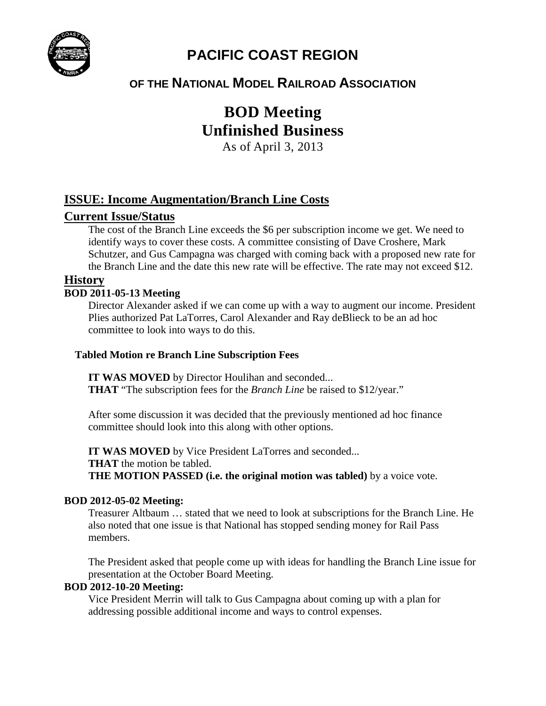

# **PACIFIC COAST REGION**

# **OF THE NATIONAL MODEL RAILROAD ASSOCIATION**

# **BOD Meeting Unfinished Business**

As of April 3, 2013

# **ISSUE: Income Augmentation/Branch Line Costs**

# **Current Issue/Status**

The cost of the Branch Line exceeds the \$6 per subscription income we get. We need to identify ways to cover these costs. A committee consisting of Dave Croshere, Mark Schutzer, and Gus Campagna was charged with coming back with a proposed new rate for the Branch Line and the date this new rate will be effective. The rate may not exceed \$12.

## **History**

#### **BOD 2011-05-13 Meeting**

Director Alexander asked if we can come up with a way to augment our income. President Plies authorized Pat LaTorres, Carol Alexander and Ray deBlieck to be an ad hoc committee to look into ways to do this.

#### **Tabled Motion re Branch Line Subscription Fees**

**IT WAS MOVED** by Director Houlihan and seconded... **THAT** "The subscription fees for the *Branch Line* be raised to \$12/year."

After some discussion it was decided that the previously mentioned ad hoc finance committee should look into this along with other options.

**IT WAS MOVED** by Vice President LaTorres and seconded... **THAT** the motion be tabled. **THE MOTION PASSED (i.e. the original motion was tabled)** by a voice vote.

### **BOD 2012-05-02 Meeting:**

Treasurer Altbaum … stated that we need to look at subscriptions for the Branch Line. He also noted that one issue is that National has stopped sending money for Rail Pass members.

The President asked that people come up with ideas for handling the Branch Line issue for presentation at the October Board Meeting.

#### **BOD 2012-10-20 Meeting:**

Vice President Merrin will talk to Gus Campagna about coming up with a plan for addressing possible additional income and ways to control expenses.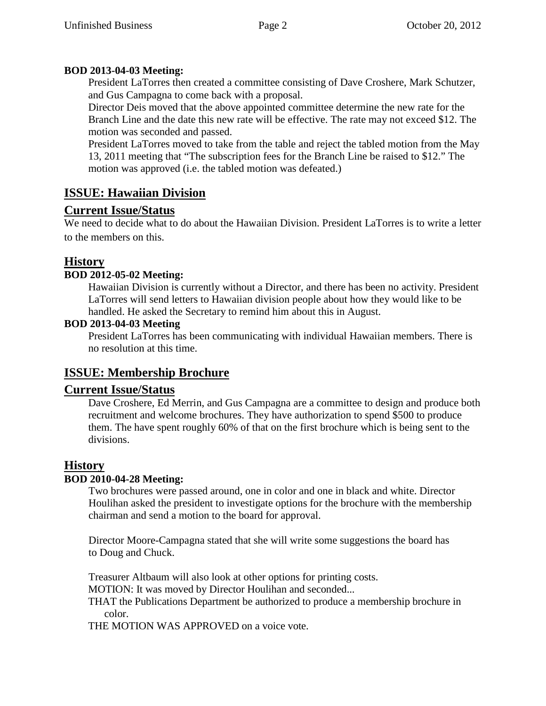# **BOD 2013-04-03 Meeting:**

President LaTorres then created a committee consisting of Dave Croshere, Mark Schutzer, and Gus Campagna to come back with a proposal.

Director Deis moved that the above appointed committee determine the new rate for the Branch Line and the date this new rate will be effective. The rate may not exceed \$12. The motion was seconded and passed.

President LaTorres moved to take from the table and reject the tabled motion from the May 13, 2011 meeting that "The subscription fees for the Branch Line be raised to \$12." The motion was approved (i.e. the tabled motion was defeated.)

# **ISSUE: Hawaiian Division**

# **Current Issue/Status**

We need to decide what to do about the Hawaiian Division. President LaTorres is to write a letter to the members on this.

# **History**

# **BOD 2012-05-02 Meeting:**

Hawaiian Division is currently without a Director, and there has been no activity. President LaTorres will send letters to Hawaiian division people about how they would like to be handled. He asked the Secretary to remind him about this in August.

## **BOD 2013-04-03 Meeting**

President LaTorres has been communicating with individual Hawaiian members. There is no resolution at this time.

# **ISSUE: Membership Brochure**

# **Current Issue/Status**

Dave Croshere, Ed Merrin, and Gus Campagna are a committee to design and produce both recruitment and welcome brochures. They have authorization to spend \$500 to produce them. The have spent roughly 60% of that on the first brochure which is being sent to the divisions.

# **History**

# **BOD 2010-04-28 Meeting:**

Two brochures were passed around, one in color and one in black and white. Director Houlihan asked the president to investigate options for the brochure with the membership chairman and send a motion to the board for approval.

Director Moore-Campagna stated that she will write some suggestions the board has to Doug and Chuck.

Treasurer Altbaum will also look at other options for printing costs.

MOTION: It was moved by Director Houlihan and seconded...

THAT the Publications Department be authorized to produce a membership brochure in color.

THE MOTION WAS APPROVED on a voice vote.